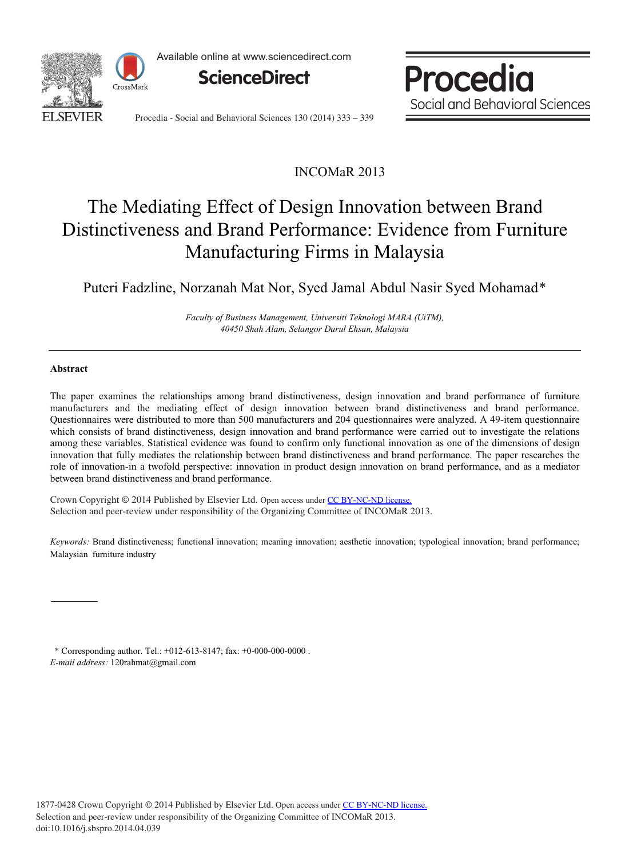

Available online at www.sciencedirect.com



Procedia Social and Behavioral Sciences

Procedia - Social and Behavioral Sciences 130 (2014) 333 - 339

# INCOMaR 2013

# The Mediating Effect of Design Innovation between Brand Distinctiveness and Brand Performance: Evidence from Furniture Manufacturing Firms in Malaysia

Puteri Fadzline, Norzanah Mat Nor, Syed Jamal Abdul Nasir Syed Mohamad\*

*Faculty of Business Management, Universiti Teknologi MARA (UiTM), 40450 Shah Alam, Selangor Darul Ehsan, Malaysia*

#### **Abstract**

The paper examines the relationships among brand distinctiveness, design innovation and brand performance of furniture manufacturers and the mediating effect of design innovation between brand distinctiveness and brand performance. Questionnaires were distributed to more than 500 manufacturers and 204 questionnaires were analyzed. A 49-item questionnaire which consists of brand distinctiveness, design innovation and brand performance were carried out to investigate the relations among these variables. Statistical evidence was found to confirm only functional innovation as one of the dimensions of design innovation that fully mediates the relationship between brand distinctiveness and brand performance. The paper researches the role of innovation-in a twofold perspective: innovation in product design innovation on brand performance, and as a mediator between brand distinctiveness and brand performance.

Crown Copyright © 2014 Published by Elsevier Ltd. Open access under [CC BY-NC-ND license.](http://creativecommons.org/licenses/by-nc-nd/3.0/) Selection and peer-review under responsibility of the Organizing Committee of INCOMaR 2013. Selection and peer-review under responsibility of the Organizing Committee of INCOMaR 2013.

*Keywords:* Brand distinctiveness; functional innovation; meaning innovation; aesthetic innovation; typological innovation; brand performance; Malaysian furniture industry

\* Corresponding author. Tel.: +012-613-8147; fax: +0-000-000-0000 . *E-mail address:* 120rahmat@gmail.com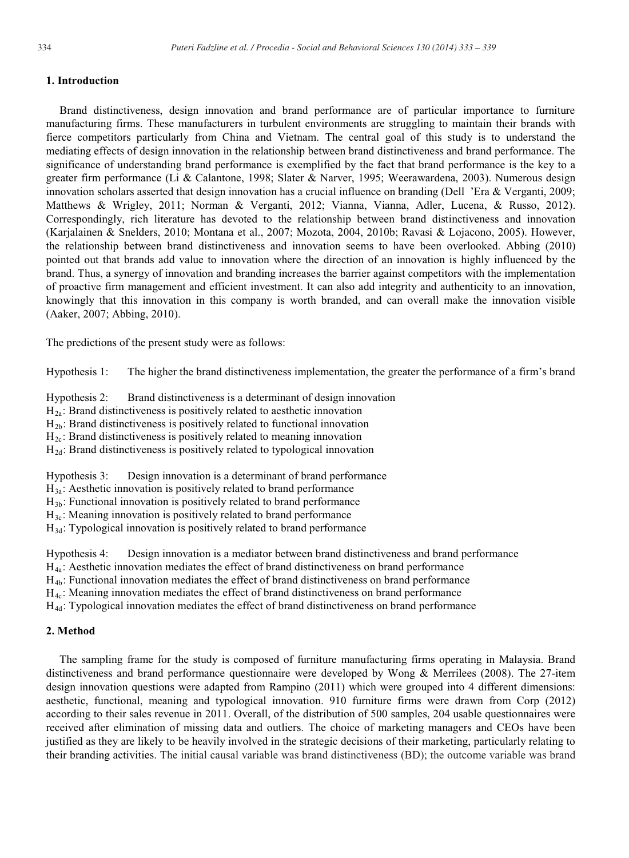## **1. Introduction**

Brand distinctiveness, design innovation and brand performance are of particular importance to furniture manufacturing firms. These manufacturers in turbulent environments are struggling to maintain their brands with fierce competitors particularly from China and Vietnam. The central goal of this study is to understand the mediating effects of design innovation in the relationship between brand distinctiveness and brand performance. The significance of understanding brand performance is exemplified by the fact that brand performance is the key to a greater firm performance (Li & Calantone, 1998; Slater & Narver, 1995; Weerawardena, 2003). Numerous design innovation scholars asserted that design innovation has a crucial influence on branding (Dell 'Era & Verganti, 2009; Matthews & Wrigley, 2011; Norman & Verganti, 2012; Vianna, Vianna, Adler, Lucena, & Russo, 2012). Correspondingly, rich literature has devoted to the relationship between brand distinctiveness and innovation (Karjalainen & Snelders, 2010; Montana et al., 2007; Mozota, 2004, 2010b; Ravasi & Lojacono, 2005). However, the relationship between brand distinctiveness and innovation seems to have been overlooked. Abbing (2010) pointed out that brands add value to innovation where the direction of an innovation is highly influenced by the brand. Thus, a synergy of innovation and branding increases the barrier against competitors with the implementation of proactive firm management and efficient investment. It can also add integrity and authenticity to an innovation, knowingly that this innovation in this company is worth branded, and can overall make the innovation visible (Aaker, 2007; Abbing, 2010).

The predictions of the present study were as follows:

Hypothesis 1: The higher the brand distinctiveness implementation, the greater the performance of a firm's brand

Hypothesis 2: Brand distinctiveness is a determinant of design innovation

 $H_{2a}$ : Brand distinctiveness is positively related to aesthetic innovation

 $H_{2b}$ : Brand distinctiveness is positively related to functional innovation

 $H_{2c}$ : Brand distinctiveness is positively related to meaning innovation

 $H_{2d}$ : Brand distinctiveness is positively related to typological innovation

Hypothesis 3: Design innovation is a determinant of brand performance

 $H_{3a}$ : Aesthetic innovation is positively related to brand performance

 $H_{3b}$ : Functional innovation is positively related to brand performance

H<sub>3c</sub>: Meaning innovation is positively related to brand performance

 $H_{3d}$ : Typological innovation is positively related to brand performance

Hypothesis 4: Design innovation is a mediator between brand distinctiveness and brand performance

H4a: Aesthetic innovation mediates the effect of brand distinctiveness on brand performance

H4b: Functional innovation mediates the effect of brand distinctiveness on brand performance

H4c: Meaning innovation mediates the effect of brand distinctiveness on brand performance

H4d: Typological innovation mediates the effect of brand distinctiveness on brand performance

## **2. Method**

The sampling frame for the study is composed of furniture manufacturing firms operating in Malaysia. Brand distinctiveness and brand performance questionnaire were developed by Wong & Merrilees (2008). The 27-item design innovation questions were adapted from Rampino (2011) which were grouped into 4 different dimensions: aesthetic, functional, meaning and typological innovation. 910 furniture firms were drawn from Corp (2012) according to their sales revenue in 2011. Overall, of the distribution of 500 samples, 204 usable questionnaires were received after elimination of missing data and outliers. The choice of marketing managers and CEOs have been justified as they are likely to be heavily involved in the strategic decisions of their marketing, particularly relating to their branding activities. The initial causal variable was brand distinctiveness (BD); the outcome variable was brand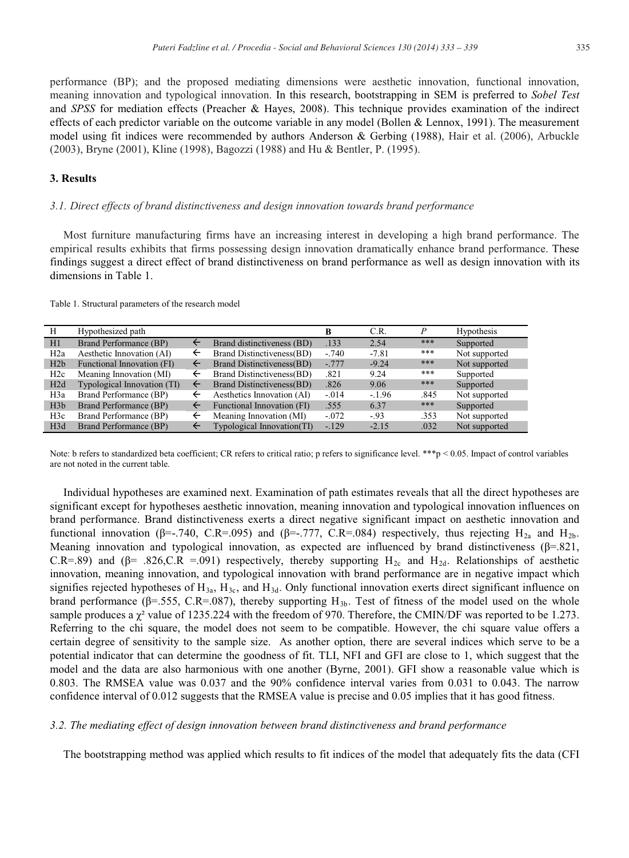performance (BP); and the proposed mediating dimensions were aesthetic innovation, functional innovation, meaning innovation and typological innovation. In this research, bootstrapping in SEM is preferred to *Sobel Test* and *SPSS* for mediation effects (Preacher & Hayes, 2008). This technique provides examination of the indirect effects of each predictor variable on the outcome variable in any model (Bollen & Lennox, 1991). The measurement model using fit indices were recommended by authors Anderson & Gerbing (1988), Hair et al. (2006), Arbuckle (2003), Bryne (2001), Kline (1998), Bagozzi (1988) and Hu & Bentler, P. (1995).

### **3. Results**

#### *3.1. Direct effects of brand distinctiveness and design innovation towards brand performance*

Most furniture manufacturing firms have an increasing interest in developing a high brand performance. The empirical results exhibits that firms possessing design innovation dramatically enhance brand performance. These findings suggest a direct effect of brand distinctiveness on brand performance as well as design innovation with its dimensions in Table 1.

|  |  | Table 1. Structural parameters of the research model |
|--|--|------------------------------------------------------|
|--|--|------------------------------------------------------|

| Н                | Hypothesized path           |              |                            | B       | C.R.     | P    | Hypothesis    |
|------------------|-----------------------------|--------------|----------------------------|---------|----------|------|---------------|
| H1               | Brand Performance (BP)      | ←            | Brand distinctiveness (BD) | .133    | 2.54     | ***  | Supported     |
| H <sub>2</sub> a | Aesthetic Innovation (AI)   | ←            | Brand Distinctiveness(BD)  | $-.740$ | $-7.81$  | ***  | Not supported |
| H2b              | Functional Innovation (FI)  | ←            | Brand Distinctiveness(BD)  | $-.777$ | $-9.24$  | ***  | Not supported |
| H2c              | Meaning Innovation (MI)     | ←            | Brand Distinctiveness(BD)  | .821    | 9.24     | ***  | Supported     |
| H2d              | Typological Innovation (TI) | $\leftarrow$ | Brand Distinctiveness(BD)  | .826    | 9.06     | ***  | Supported     |
| H3a              | Brand Performance (BP)      | ←            | Aesthetics Innovation (AI) | $-.014$ | $-.1.96$ | .845 | Not supported |
| H3b              | Brand Performance (BP)      | ←            | Functional Innovation (FI) | .555    | 6.37     | ***  | Supported     |
| H3c              | Brand Performance (BP)      | ←            | Meaning Innovation (MI)    | $-.072$ | $-93$    | .353 | Not supported |
| H3d              | Brand Performance (BP)      | ←            | Typological Innovation(TI) | $-.129$ | $-2.15$  | .032 | Not supported |

Note: b refers to standardized beta coefficient; CR refers to critical ratio; p refers to significance level. \*\*\*p < 0.05. Impact of control variables are not noted in the current table.

Individual hypotheses are examined next. Examination of path estimates reveals that all the direct hypotheses are significant except for hypotheses aesthetic innovation, meaning innovation and typological innovation influences on brand performance. Brand distinctiveness exerts a direct negative significant impact on aesthetic innovation and functional innovation ( $\beta$ =-.740, C.R=.095) and ( $\beta$ =-.777, C.R=.084) respectively, thus rejecting H<sub>2a</sub> and H<sub>2b</sub>. Meaning innovation and typological innovation, as expected are influenced by brand distinctiveness ( $\beta$ =.821, C.R=.89) and ( $\beta$ = .826,C.R =.091) respectively, thereby supporting H<sub>2c</sub> and H<sub>2d</sub>. Relationships of aesthetic innovation, meaning innovation, and typological innovation with brand performance are in negative impact which signifies rejected hypotheses of  $H_{3a}$ ,  $H_{3c}$ , and  $H_{3d}$ . Only functional innovation exerts direct significant influence on brand performance ( $\beta$ =.555, C.R=.087), thereby supporting  $H_{3b}$ . Test of fitness of the model used on the whole sample produces a  $\chi^2$  value of 1235.224 with the freedom of 970. Therefore, the CMIN/DF was reported to be 1.273. Referring to the chi square, the model does not seem to be compatible. However, the chi square value offers a certain degree of sensitivity to the sample size. As another option, there are several indices which serve to be a potential indicator that can determine the goodness of fit. TLI, NFI and GFI are close to 1, which suggest that the model and the data are also harmonious with one another (Byrne, 2001). GFI show a reasonable value which is 0.803. The RMSEA value was 0.037 and the 90% confidence interval varies from 0.031 to 0.043. The narrow confidence interval of 0.012 suggests that the RMSEA value is precise and 0.05 implies that it has good fitness.

#### *3.2. The mediating effect of design innovation between brand distinctiveness and brand performance*

The bootstrapping method was applied which results to fit indices of the model that adequately fits the data (CFI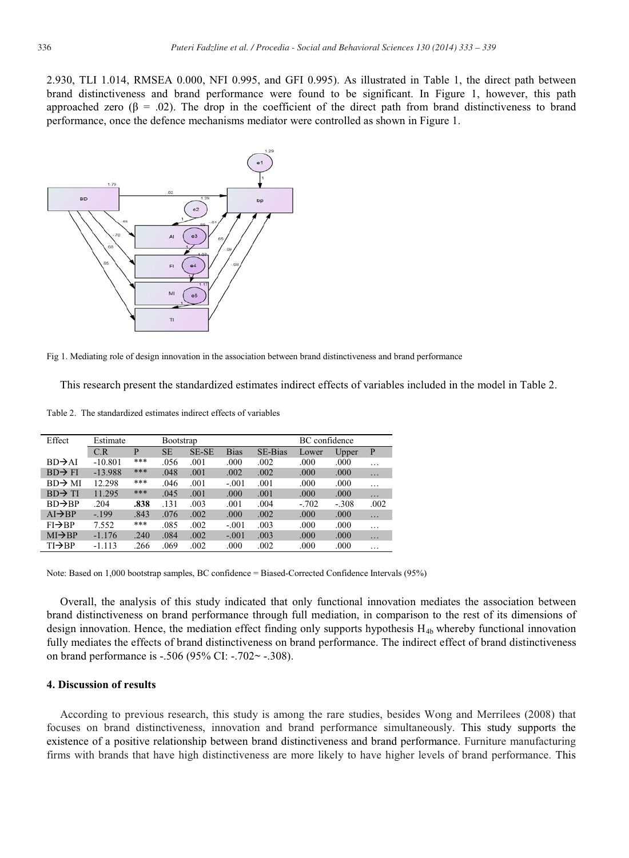2.930, TLI 1.014, RMSEA 0.000, NFI 0.995, and GFI 0.995). As illustrated in Table 1, the direct path between brand distinctiveness and brand performance were found to be significant. In Figure 1, however, this path approached zero ( $\beta$  = .02). The drop in the coefficient of the direct path from brand distinctiveness to brand performance, once the defence mechanisms mediator were controlled as shown in Figure 1.



Fig 1. Mediating role of design innovation in the association between brand distinctiveness and brand performance

This research present the standardized estimates indirect effects of variables included in the model in Table 2.

| Effect              | Estimate  |      | <b>Bootstrap</b> |       |             | BC confidence  |         |         |          |
|---------------------|-----------|------|------------------|-------|-------------|----------------|---------|---------|----------|
|                     | C.R       | P    | <b>SE</b>        | SE-SE | <b>Bias</b> | <b>SE-Bias</b> | Lower   | Upper   | P        |
| $BD \rightarrow AI$ | $-10.801$ | ***  | .056             | .001  | .000        | .002           | .000    | .000    | $\cdots$ |
| $BD \rightarrow FI$ | $-13.988$ | ***  | .048             | .001  | .002        | .002           | .000    | .000    | .        |
| $BD \rightarrow MI$ | 12.298    | ***  | .046             | .001  | $-.001$     | .001           | .000    | .000    | $\cdots$ |
| $BD \rightarrow TI$ | 11.295    | ***  | .045             | .001  | .000        | .001           | .000    | .000    | $\cdots$ |
| $BD \rightarrow BP$ | .204      | .838 | .131             | .003  | .001        | .004           | $-.702$ | $-.308$ | .002     |
| $AI \rightarrow BP$ | $-199$    | .843 | .076             | .002  | .000        | .002           | .000    | .000    | .        |
| $FI \rightarrow BP$ | 7.552     | ***  | .085             | .002  | $-.001$     | .003           | .000    | .000    | $\cdots$ |
| $MI \rightarrow BP$ | $-1.176$  | .240 | .084             | .002  | $-.001$     | .003           | .000    | .000    | $\cdots$ |

 $TI\rightarrow BP$  -1.113 .266 .069 .002 .000 .002 .000 .000 ...

Table 2. The standardized estimates indirect effects of variables

Note: Based on 1,000 bootstrap samples, BC confidence = Biased-Corrected Confidence Intervals (95%)

Overall, the analysis of this study indicated that only functional innovation mediates the association between brand distinctiveness on brand performance through full mediation, in comparison to the rest of its dimensions of design innovation. Hence, the mediation effect finding only supports hypothesis  $H_{4b}$  whereby functional innovation fully mediates the effects of brand distinctiveness on brand performance. The indirect effect of brand distinctiveness on brand performance is -.506 (95% CI: -.702~ -.308).

#### **4. Discussion of results**

According to previous research, this study is among the rare studies, besides Wong and Merrilees (2008) that focuses on brand distinctiveness, innovation and brand performance simultaneously. This study supports the existence of a positive relationship between brand distinctiveness and brand performance. Furniture manufacturing firms with brands that have high distinctiveness are more likely to have higher levels of brand performance. This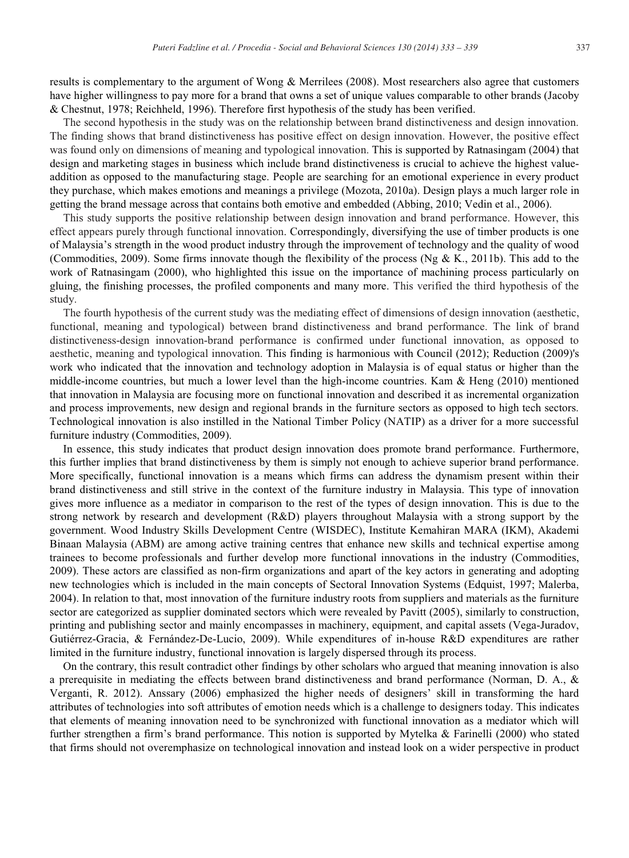results is complementary to the argument of Wong & Merrilees (2008). Most researchers also agree that customers have higher willingness to pay more for a brand that owns a set of unique values comparable to other brands (Jacoby & Chestnut, 1978; Reichheld, 1996). Therefore first hypothesis of the study has been verified.

The second hypothesis in the study was on the relationship between brand distinctiveness and design innovation. The finding shows that brand distinctiveness has positive effect on design innovation. However, the positive effect was found only on dimensions of meaning and typological innovation. This is supported by Ratnasingam (2004) that design and marketing stages in business which include brand distinctiveness is crucial to achieve the highest valueaddition as opposed to the manufacturing stage. People are searching for an emotional experience in every product they purchase, which makes emotions and meanings a privilege (Mozota, 2010a). Design plays a much larger role in getting the brand message across that contains both emotive and embedded (Abbing, 2010; Vedin et al., 2006).

This study supports the positive relationship between design innovation and brand performance. However, this effect appears purely through functional innovation. Correspondingly, diversifying the use of timber products is one of Malaysia's strength in the wood product industry through the improvement of technology and the quality of wood (Commodities, 2009). Some firms innovate though the flexibility of the process (Ng & K., 2011b). This add to the work of Ratnasingam (2000), who highlighted this issue on the importance of machining process particularly on gluing, the finishing processes, the profiled components and many more. This verified the third hypothesis of the study.

The fourth hypothesis of the current study was the mediating effect of dimensions of design innovation (aesthetic, functional, meaning and typological) between brand distinctiveness and brand performance. The link of brand distinctiveness-design innovation-brand performance is confirmed under functional innovation, as opposed to aesthetic, meaning and typological innovation. This finding is harmonious with Council (2012); Reduction (2009)'s work who indicated that the innovation and technology adoption in Malaysia is of equal status or higher than the middle-income countries, but much a lower level than the high-income countries. Kam & Heng (2010) mentioned that innovation in Malaysia are focusing more on functional innovation and described it as incremental organization and process improvements, new design and regional brands in the furniture sectors as opposed to high tech sectors. Technological innovation is also instilled in the National Timber Policy (NATIP) as a driver for a more successful furniture industry (Commodities, 2009).

In essence, this study indicates that product design innovation does promote brand performance. Furthermore, this further implies that brand distinctiveness by them is simply not enough to achieve superior brand performance. More specifically, functional innovation is a means which firms can address the dynamism present within their brand distinctiveness and still strive in the context of the furniture industry in Malaysia. This type of innovation gives more influence as a mediator in comparison to the rest of the types of design innovation. This is due to the strong network by research and development (R&D) players throughout Malaysia with a strong support by the government. Wood Industry Skills Development Centre (WISDEC), Institute Kemahiran MARA (IKM), Akademi Binaan Malaysia (ABM) are among active training centres that enhance new skills and technical expertise among trainees to become professionals and further develop more functional innovations in the industry (Commodities, 2009). These actors are classified as non-firm organizations and apart of the key actors in generating and adopting new technologies which is included in the main concepts of Sectoral Innovation Systems (Edquist, 1997; Malerba, 2004). In relation to that, most innovation of the furniture industry roots from suppliers and materials as the furniture sector are categorized as supplier dominated sectors which were revealed by Pavitt (2005), similarly to construction, printing and publishing sector and mainly encompasses in machinery, equipment, and capital assets (Vega-Juradov, Gutiérrez-Gracia, & Fernández-De-Lucio, 2009). While expenditures of in-house R&D expenditures are rather limited in the furniture industry, functional innovation is largely dispersed through its process.

On the contrary, this result contradict other findings by other scholars who argued that meaning innovation is also a prerequisite in mediating the effects between brand distinctiveness and brand performance (Norman, D. A., & Verganti, R. 2012). Anssary (2006) emphasized the higher needs of designers' skill in transforming the hard attributes of technologies into soft attributes of emotion needs which is a challenge to designers today. This indicates that elements of meaning innovation need to be synchronized with functional innovation as a mediator which will further strengthen a firm's brand performance. This notion is supported by Mytelka & Farinelli (2000) who stated that firms should not overemphasize on technological innovation and instead look on a wider perspective in product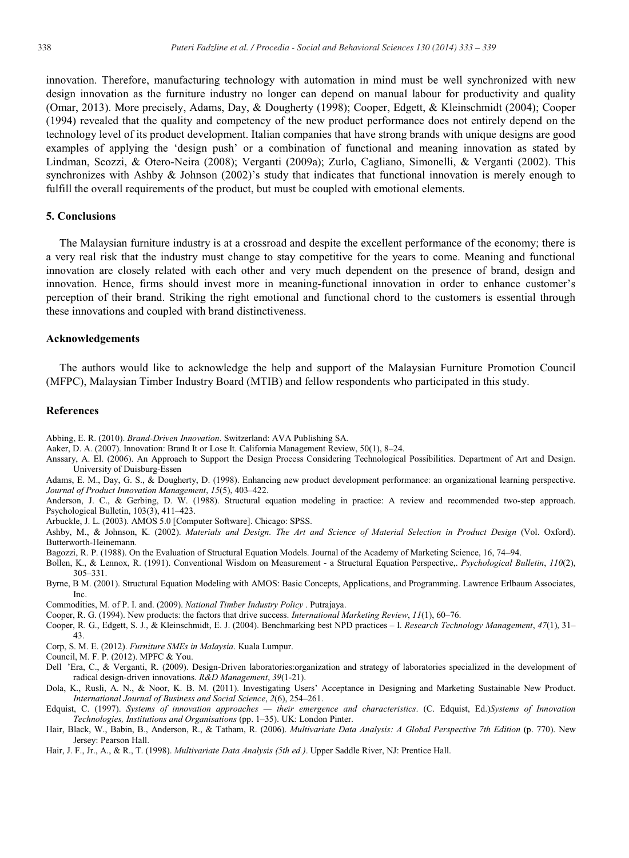innovation. Therefore, manufacturing technology with automation in mind must be well synchronized with new design innovation as the furniture industry no longer can depend on manual labour for productivity and quality (Omar, 2013). More precisely, Adams, Day, & Dougherty (1998); Cooper, Edgett, & Kleinschmidt (2004); Cooper (1994) revealed that the quality and competency of the new product performance does not entirely depend on the technology level of its product development. Italian companies that have strong brands with unique designs are good examples of applying the 'design push' or a combination of functional and meaning innovation as stated by Lindman, Scozzi, & Otero-Neira (2008); Verganti (2009a); Zurlo, Cagliano, Simonelli, & Verganti (2002). This synchronizes with Ashby & Johnson (2002)'s study that indicates that functional innovation is merely enough to fulfill the overall requirements of the product, but must be coupled with emotional elements.

#### **5. Conclusions**

The Malaysian furniture industry is at a crossroad and despite the excellent performance of the economy; there is a very real risk that the industry must change to stay competitive for the years to come. Meaning and functional innovation are closely related with each other and very much dependent on the presence of brand, design and innovation. Hence, firms should invest more in meaning-functional innovation in order to enhance customer's perception of their brand. Striking the right emotional and functional chord to the customers is essential through these innovations and coupled with brand distinctiveness.

#### **Acknowledgements**

The authors would like to acknowledge the help and support of the Malaysian Furniture Promotion Council (MFPC), Malaysian Timber Industry Board (MTIB) and fellow respondents who participated in this study.

#### **References**

- Abbing, E. R. (2010). *Brand-Driven Innovation*. Switzerland: AVA Publishing SA.
- Aaker, D. A. (2007). Innovation: Brand It or Lose It. California Management Review, 50(1), 8–24.
- Anssary, A. El. (2006). An Approach to Support the Design Process Considering Technological Possibilities. Department of Art and Design. University of Duisburg-Essen
- Adams, E. M., Day, G. S., & Dougherty, D. (1998). Enhancing new product development performance: an organizational learning perspective. *Journal of Product Innovation Management*, *15*(5), 403–422.
- Anderson, J. C., & Gerbing, D. W. (1988). Structural equation modeling in practice: A review and recommended two-step approach. Psychological Bulletin, 103(3), 411–423.
- Arbuckle, J. L. (2003). AMOS 5.0 [Computer Software]. Chicago: SPSS.
- Ashby, M., & Johnson, K. (2002). *Materials and Design. The Art and Science of Material Selection in Product Design* (Vol. Oxford). Butterworth-Heinemann.
- Bagozzi, R. P. (1988). On the Evaluation of Structural Equation Models. Journal of the Academy of Marketing Science, 16, 74–94.
- Bollen, K., & Lennox, R. (1991). Conventional Wisdom on Measurement a Structural Equation Perspective,. *Psychological Bulletin*, *110*(2), 305–331.
- Byrne, B M. (2001). Structural Equation Modeling with AMOS: Basic Concepts, Applications, and Programming. Lawrence Erlbaum Associates, Inc.
- Commodities, M. of P. I. and. (2009). *National Timber Industry Policy* . Putrajaya.
- Cooper, R. G. (1994). New products: the factors that drive success. *International Marketing Review*, *11*(1), 60–76.
- Cooper, R. G., Edgett, S. J., & Kleinschmidt, E. J. (2004). Benchmarking best NPD practices I. *Research Technology Management*, *47*(1), 31– 43.
- Corp, S. M. E. (2012). *Furniture SMEs in Malaysia*. Kuala Lumpur.
- Council, M. F. P. (2012). MPFC & You.
- Dell 'Era, C., & Verganti, R. (2009). Design-Driven laboratories:organization and strategy of laboratories specialized in the development of radical design-driven innovations. *R&D Management*, *39*(1-21).
- Dola, K., Rusli, A. N., & Noor, K. B. M. (2011). Investigating Users' Acceptance in Designing and Marketing Sustainable New Product. *International Journal of Business and Social Science*, *2*(6), 254–261.
- Edquist, C. (1997). *Systems of innovation approaches — their emergence and characteristics*. (C. Edquist, Ed.)*Systems of Innovation Technologies, Institutions and Organisations* (pp. 1–35). UK: London Pinter.
- Hair, Black, W., Babin, B., Anderson, R., & Tatham, R. (2006). *Multivariate Data Analysis: A Global Perspective 7th Edition* (p. 770). New Jersey: Pearson Hall.
- Hair, J. F., Jr., A., & R., T. (1998). *Multivariate Data Analysis (5th ed.)*. Upper Saddle River, NJ: Prentice Hall.